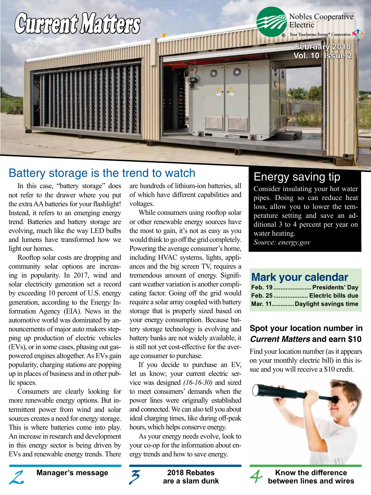

# Battery storage is the trend to watch

In this case, "battery storage" does not refer to the drawer where you put the extra AA batteries for your flashlight! Instead, it refers to an emerging energy trend. Batteries and battery storage are evolving, much like the way LED bulbs and lumens have transformed how we light our homes.

Rooftop solar costs are dropping and community solar options are increasing in popularity. In 2017, wind and solar electricity generation set a record by exceeding 10 percent of U.S. energy generation, according to the Energy Information Agency (EIA). News in the automotive world was dominated by announcements of major auto makers stepping up production of electric vehicles (EVs), or in some cases, phasing out gaspowered engines altogether. As EVs gain popularity, charging stations are popping up in places of business and in other public spaces.

Consumers are clearly looking for more renewable energy options. But intermittent power from wind and solar sources creates a need for energy storage. This is where batteries come into play. An increase in research and development in this energy sector is being driven by EVs and renewable energy trends. There

are hundreds of lithium-ion batteries, all of which have different capabilities and voltages.

While consumers using rooftop solar or other renewable energy sources have the most to gain, it's not as easy as you would think to go off the grid completely. Powering the average consumer's home, including HVAC systems, lights, appliances and the big screen TV, requires a tremendous amount of energy. Significant weather variation is another complicating factor. Going off the grid would require a solar array coupled with battery storage that is properly sized based on your energy consumption. Because battery storage technology is evolving and battery banks are not widely available, it is still not yet cost-effective for the average consumer to purchase.

If you decide to purchase an EV, let us know; your current electric service was designed *(16-16-30)* and sized to meet consumers' demands when the power lines were originally established and connected. We can also tell you about ideal charging times, like during off-peak hours, which helps conserve energy.

As your energy needs evolve, look to your co-op for the information about energy trends and how to save energy.

### Energy saving tip Consider insulating your hot water

pipes. Doing so can reduce heat loss, allow you to lower the temperature setting and save an additional 3 to 4 percent per year on water heating.

*Source: energy.gov*

# **Mark your calendar**

|  | Feb. 19  Presidents' Day     |
|--|------------------------------|
|  | Feb. 25  Electric bills due  |
|  | Mar. 11Daylight savings time |

### **Spot your location number in Current Matters and earn \$10**

Find your location number (as it appears on your monthly electric bill) in this issue and you will receive a \$10 credit.







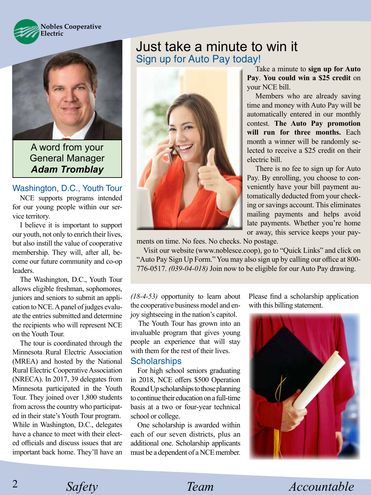



A word from your General Manager *Adam Tromblay*

#### Washington, D.C., Youth Tour

NCE supports programs intended for our young people within our service territory.

I believe it is important to support our youth, not only to enrich their lives, but also instill the value of cooperative membership. They will, after all, become our future community and co-op leaders.

The Washington, D.C., Youth Tour allows eligible freshman, sophomores, juniors and seniors to submit an application to NCE. A panel of judges evaluate the entries submitted and determine the recipients who will represent NCE on the Youth Tour.

The tour is coordinated through the Minnesota Rural Electric Association (MREA) and hosted by the National Rural Electric Cooperative Association (NRECA). In 2017, 39 delegates from Minnesota participated in the Youth Tour. They joined over 1,800 students from across the country who participated in their state's Youth Tour program. While in Washington, D.C., delegates have a chance to meet with their elected officials and discuss issues that are important back home. They'll have an

### Just take a minute to win it Sign up for Auto Pay today!



or away, this service keeps your pay-

ments on time. No fees. No checks. No postage. Visit our website (www.noblesce.coop), go to "Quick Links" and click on "Auto Pay Sign Up Form." You may also sign up by calling our office at 800-

776-0517. *(039-04-018)* Join now to be eligible for our Auto Pay drawing.

*(18-4-53)* opportunity to learn about the cooperative business model and enjoy sightseeing in the nation's capitol.

The Youth Tour has grown into an invaluable program that gives young people an experience that will stay with them for the rest of their lives.

#### **Scholarships**

For high school seniors graduating in 2018, NCE offers \$500 Operation Round Up scholarships to those planning to continue their education on a full-time basis at a two or four-year technical school or college.

One scholarship is awarded within each of our seven districts, plus an additional one. Scholarship applicants must be a dependent of a NCE member. Please find a scholarship application with this billing statement.

Take a minute to **sign up for Auto Pay**. **You could win a \$25 credit** on

Members who are already saving time and money with Auto Pay will be automatically entered in our monthly contest. **The Auto Pay promotion will run for three months.** Each month a winner will be randomly selected to receive a \$25 credit on their

There is no fee to sign up for Auto Pay. By enrolling, you choose to conveniently have your bill payment automatically deducted from your checking or savings account. This eliminates mailing payments and helps avoid late payments. Whether you're home

your NCE bill.

electric bill.



*Safety Team Accountable* 

2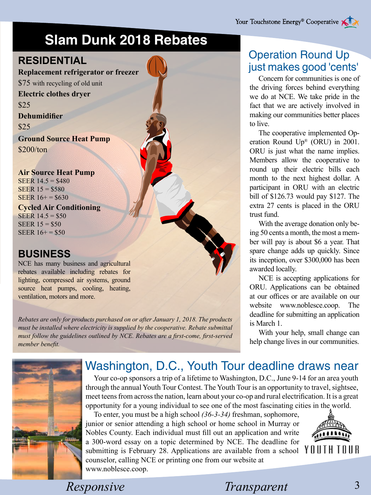# **Slam Dunk 2018 Rebates**

# **RESIDENTIAL**

**Replacement refrigerator or freezer**

\$75 with recycling of old unit **Electric clothes dryer** \$25 **Dehumidifier** \$25

**Ground Source Heat Pump** \$200/ton

**Air Source Heat Pump** SEER 14.5 = \$480 SEER 15 = \$580 SEER  $16+=\$630$ 

**Cycled Air Conditioning** SEER  $14.5 = $50$ SEER 15 = \$50 SEER  $16+=\$50$ 

# **BUSINESS**

NCE has many business and agricultural rebates available including rebates for lighting, compressed air systems, ground source heat pumps, cooling, heating, ventilation, motors and more.

*Rebates are only for products purchased on or after January 1, 2018. The products must be installed where electricity is supplied by the cooperative. Rebate submittal must follow the guidelines outlined by NCE. Rebates are a first-come, first-served member benefit.*

# Operation Round Up just makes good 'cents'

Concern for communities is one of the driving forces behind everything we do at NCE. We take pride in the fact that we are actively involved in making our communities better places to live.

The cooperative implemented Operation Round Up® (ORU) in 2001. ORU is just what the name implies. Members allow the cooperative to round up their electric bills each month to the next highest dollar. A participant in ORU with an electric bill of \$126.73 would pay \$127. The extra 27 cents is placed in the ORU trust fund.

With the average donation only being 50 cents a month, the most a member will pay is about \$6 a year. That spare change adds up quickly. Since its inception, over \$300,000 has been awarded locally.

NCE is accepting applications for ORU. Applications can be obtained at our offices or are available on our website www.noblesce.coop. The deadline for submitting an application is March 1.

With your help, small change can help change lives in our communities.



# Washington, D.C., Youth Tour deadline draws near

Your co-op sponsors a trip of a lifetime to Washington, D.C., June 9-14 for an area youth through the annual Youth Tour Contest. The Youth Tour is an opportunity to travel, sightsee, meet teens from across the nation, learn about your co-op and rural electrification. It is a great opportunity for a young individual to see one of the most fascinating cities in the world.

To enter, you must be a high school *(36-3-34)* freshman, sophomore, junior or senior attending a high school or home school in Murray or Nobles County. Each individual must fill out an application and write a 300-word essay on a topic determined by NCE. The deadline for submitting is February 28. Applications are available from a school  $\forall 0 \cup 1$ counselor, calling NCE or printing one from our website at www.noblesce.coop.



*Responsive* Transparent